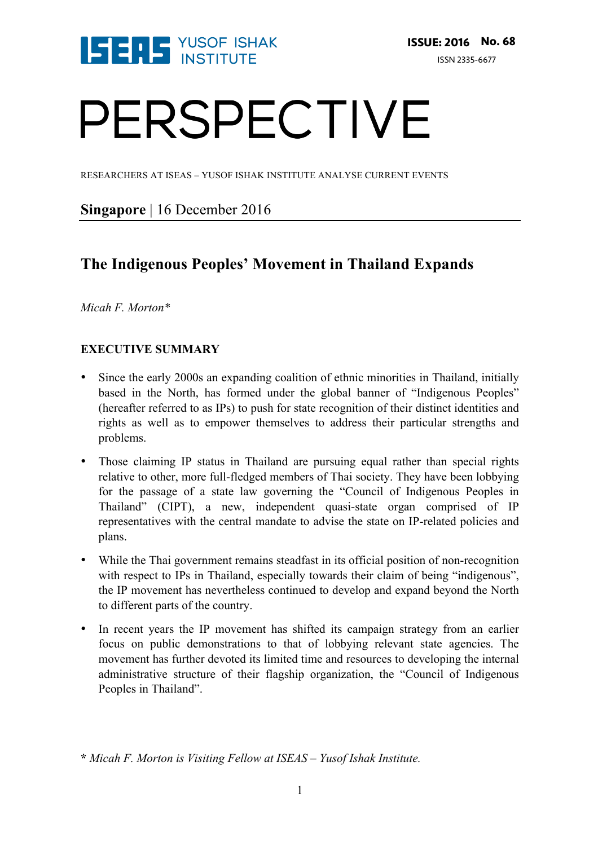

# PERSPECTIVE

RESEARCHERS AT ISEAS – YUSOF ISHAK INSTITUTE ANALYSE CURRENT EVENTS

### **Singapore** | 16 December 2016

## **The Indigenous Peoples' Movement in Thailand Expands**

*Micah F. Morton\**

#### **EXECUTIVE SUMMARY**

- Since the early 2000s an expanding coalition of ethnic minorities in Thailand, initially based in the North, has formed under the global banner of "Indigenous Peoples" (hereafter referred to as IPs) to push for state recognition of their distinct identities and rights as well as to empower themselves to address their particular strengths and problems.
- Those claiming IP status in Thailand are pursuing equal rather than special rights relative to other, more full-fledged members of Thai society. They have been lobbying for the passage of a state law governing the "Council of Indigenous Peoples in Thailand" (CIPT), a new, independent quasi-state organ comprised of IP representatives with the central mandate to advise the state on IP-related policies and plans.
- While the Thai government remains steadfast in its official position of non-recognition with respect to IPs in Thailand, especially towards their claim of being "indigenous", the IP movement has nevertheless continued to develop and expand beyond the North to different parts of the country.
- In recent years the IP movement has shifted its campaign strategy from an earlier focus on public demonstrations to that of lobbying relevant state agencies. The movement has further devoted its limited time and resources to developing the internal administrative structure of their flagship organization, the "Council of Indigenous Peoples in Thailand".

**<sup>\*</sup>** *Micah F. Morton is Visiting Fellow at ISEAS – Yusof Ishak Institute.*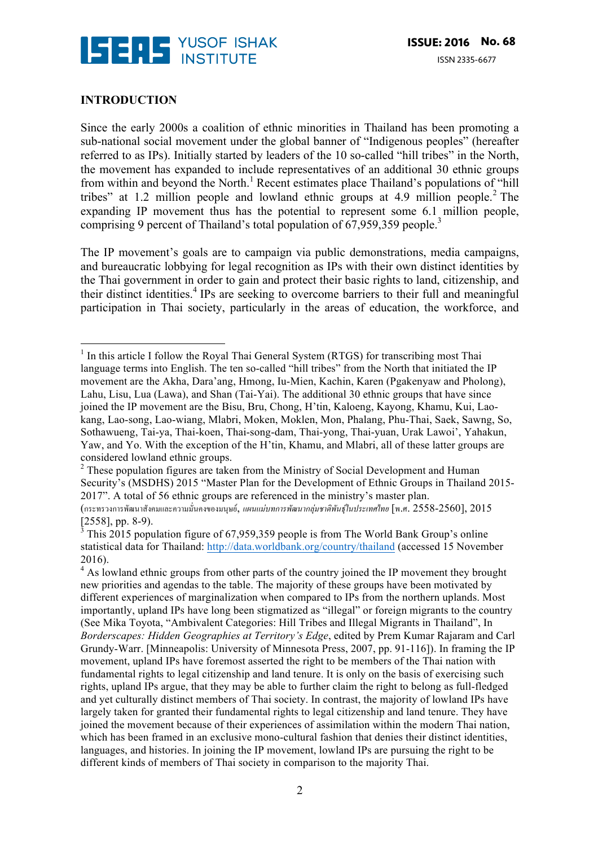

#### **INTRODUCTION**

Since the early 2000s a coalition of ethnic minorities in Thailand has been promoting a sub-national social movement under the global banner of "Indigenous peoples" (hereafter referred to as IPs). Initially started by leaders of the 10 so-called "hill tribes" in the North, the movement has expanded to include representatives of an additional 30 ethnic groups from within and beyond the North.<sup>1</sup> Recent estimates place Thailand's populations of "hill" tribes" at 1.2 million people and lowland ethnic groups at 4.9 million people. <sup>2</sup> The expanding IP movement thus has the potential to represent some 6.1 million people, comprising 9 percent of Thailand's total population of 67,959,359 people.<sup>3</sup>

The IP movement's goals are to campaign via public demonstrations, media campaigns, and bureaucratic lobbying for legal recognition as IPs with their own distinct identities by the Thai government in order to gain and protect their basic rights to land, citizenship, and their distinct identities.<sup>4</sup> IPs are seeking to overcome barriers to their full and meaningful participation in Thai society, particularly in the areas of education, the workforce, and

  $1$  In this article I follow the Royal Thai General System (RTGS) for transcribing most Thai language terms into English. The ten so-called "hill tribes" from the North that initiated the IP movement are the Akha, Dara'ang, Hmong, Iu-Mien, Kachin, Karen (Pgakenyaw and Pholong), Lahu, Lisu, Lua (Lawa), and Shan (Tai-Yai). The additional 30 ethnic groups that have since joined the IP movement are the Bisu, Bru, Chong, H'tin, Kaloeng, Kayong, Khamu, Kui, Laokang, Lao-song, Lao-wiang, Mlabri, Moken, Moklen, Mon, Phalang, Phu-Thai, Saek, Sawng, So, Sothawueng, Tai-ya, Thai-koen, Thai-song-dam, Thai-yong, Thai-yuan, Urak Lawoi', Yahakun, Yaw, and Yo. With the exception of the H'tin, Khamu, and Mlabri, all of these latter groups are considered lowland ethnic groups.

<sup>&</sup>lt;sup>2</sup> These population figures are taken from the Ministry of Social Development and Human Security's (MSDHS) 2015 "Master Plan for the Development of Ethnic Groups in Thailand 2015- 2017". A total of 56 ethnic groups are referenced in the ministry's master plan.

<sup>(</sup>กระทรวงการพัฒนาสังคมและความมั่นคงของมนุษย์, *แผนแม่บทการพัฒนากลุ่มชาติพันธุ์ในประเทศไทย* [พ.ศ. 2558-2560], 2015 [2558], pp. 8-9).

<sup>3</sup> This 2015 population figure of 67,959,359 people is from The World Bank Group's online statistical data for Thailand: http://data.worldbank.org/country/thailand (accessed 15 November 2016).

 $<sup>4</sup>$  As lowland ethnic groups from other parts of the country joined the IP movement they brought</sup> new priorities and agendas to the table. The majority of these groups have been motivated by different experiences of marginalization when compared to IPs from the northern uplands. Most importantly, upland IPs have long been stigmatized as "illegal" or foreign migrants to the country (See Mika Toyota, "Ambivalent Categories: Hill Tribes and Illegal Migrants in Thailand", In *Borderscapes: Hidden Geographies at Territory's Edge*, edited by Prem Kumar Rajaram and Carl Grundy-Warr. [Minneapolis: University of Minnesota Press, 2007, pp. 91-116]). In framing the IP movement, upland IPs have foremost asserted the right to be members of the Thai nation with fundamental rights to legal citizenship and land tenure. It is only on the basis of exercising such rights, upland IPs argue, that they may be able to further claim the right to belong as full-fledged and yet culturally distinct members of Thai society. In contrast, the majority of lowland IPs have largely taken for granted their fundamental rights to legal citizenship and land tenure. They have joined the movement because of their experiences of assimilation within the modern Thai nation, which has been framed in an exclusive mono-cultural fashion that denies their distinct identities, languages, and histories. In joining the IP movement, lowland IPs are pursuing the right to be different kinds of members of Thai society in comparison to the majority Thai.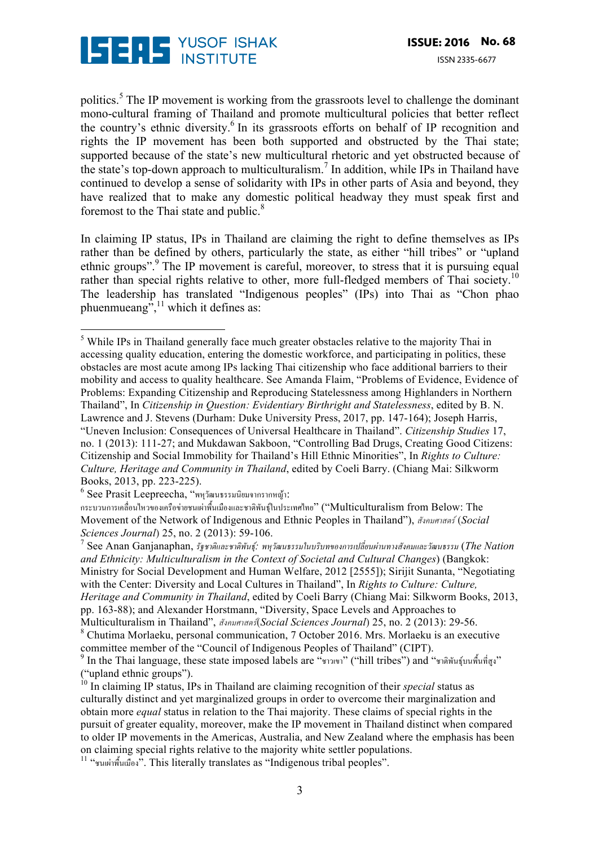

politics.<sup>5</sup> The IP movement is working from the grassroots level to challenge the dominant mono-cultural framing of Thailand and promote multicultural policies that better reflect the country's ethnic diversity.<sup>6</sup> In its grassroots efforts on behalf of IP recognition and rights the IP movement has been both supported and obstructed by the Thai state; supported because of the state's new multicultural rhetoric and yet obstructed because of the state's top-down approach to multiculturalism.<sup>7</sup> In addition, while IPs in Thailand have continued to develop a sense of solidarity with IPs in other parts of Asia and beyond, they have realized that to make any domestic political headway they must speak first and foremost to the Thai state and public. 8

In claiming IP status, IPs in Thailand are claiming the right to define themselves as IPs rather than be defined by others, particularly the state, as either "hill tribes" or "upland ethnic groups".<sup>9</sup> The IP movement is careful, moreover, to stress that it is pursuing equal rather than special rights relative to other, more full-fledged members of Thai society.<sup>10</sup> The leadership has translated "Indigenous peoples" (IPs) into Thai as "Chon phao phuenmueang<sup> $\frac{1}{2}$ ,<sup>11</sup> which it defines as:</sup>

<sup>6</sup> See Prasit Leepreecha, "พหุวัฒนธรรมนิยมจากรากหญ้า:

กระบวนการเคลื่อนไหวของเครือข่ายชนเผ่าพื้นเมืองและชาติพันธุ์ในประเทศไทย" ("Multiculturalism from Below: The Movement of the Network of Indigenous and Ethnic Peoples in Thailand"), *สังคมศาสตร์*(*Social Sciences Journal*) 25, no. 2 (2013): 59-106.

<sup>7</sup> See Anan Ganjanaphan, *รัฐชาติและชาติพันธุ์: พหุวัฒนธรรมในบริบทของการเปลี่ยนผ่านทางสังคมและวัฒนธรรม* (*The Nation and Ethnicity: Multiculturalism in the Context of Societal and Cultural Changes*) (Bangkok: Ministry for Social Development and Human Welfare, 2012 [2555]); Sirijit Sunanta, "Negotiating with the Center: Diversity and Local Cultures in Thailand", In *Rights to Culture: Culture, Heritage and Community in Thailand*, edited by Coeli Barry (Chiang Mai: Silkworm Books, 2013, pp. 163-88); and Alexander Horstmann, "Diversity, Space Levels and Approaches to Multiculturalism in Thailand", *สังคมศาสตร์*(*Social Sciences Journal*) 25, no. 2 (2013): 29-56.

 <sup>5</sup> While IPs in Thailand generally face much greater obstacles relative to the majority Thai in accessing quality education, entering the domestic workforce, and participating in politics, these obstacles are most acute among IPs lacking Thai citizenship who face additional barriers to their mobility and access to quality healthcare. See Amanda Flaim, "Problems of Evidence, Evidence of Problems: Expanding Citizenship and Reproducing Statelessness among Highlanders in Northern Thailand", In *Citizenship in Question: Evidentiary Birthright and Statelessness*, edited by B. N. Lawrence and J. Stevens (Durham: Duke University Press, 2017, pp. 147-164); Joseph Harris, "Uneven Inclusion: Consequences of Universal Healthcare in Thailand". *Citizenship Studies* 17, no. 1 (2013): 111-27; and Mukdawan Sakboon, "Controlling Bad Drugs, Creating Good Citizens: Citizenship and Social Immobility for Thailand's Hill Ethnic Minorities", In *Rights to Culture: Culture, Heritage and Community in Thailand*, edited by Coeli Barry. (Chiang Mai: Silkworm Books, 2013, pp. 223-225).

<sup>8</sup> Chutima Morlaeku, personal communication, 7 October 2016. Mrs. Morlaeku is an executive committee member of the "Council of Indigenous Peoples of Thailand" (CIPT).

 $^9$  In the Thai language, these state imposed labels are " $\gamma$ าวเขา" ("hill tribes") and "ชาติพันธุ์บนพื้นที่สูง" ("upland ethnic groups").

<sup>10</sup> In claiming IP status, IPs in Thailand are claiming recognition of their *special* status as culturally distinct and yet marginalized groups in order to overcome their marginalization and obtain more *equal* status in relation to the Thai majority. These claims of special rights in the pursuit of greater equality, moreover, make the IP movement in Thailand distinct when compared to older IP movements in the Americas, Australia, and New Zealand where the emphasis has been on claiming special rights relative to the majority white settler populations.

<sup>11</sup> "ชนเผ่าพื้นเมือง". This literally translates as "Indigenous tribal peoples".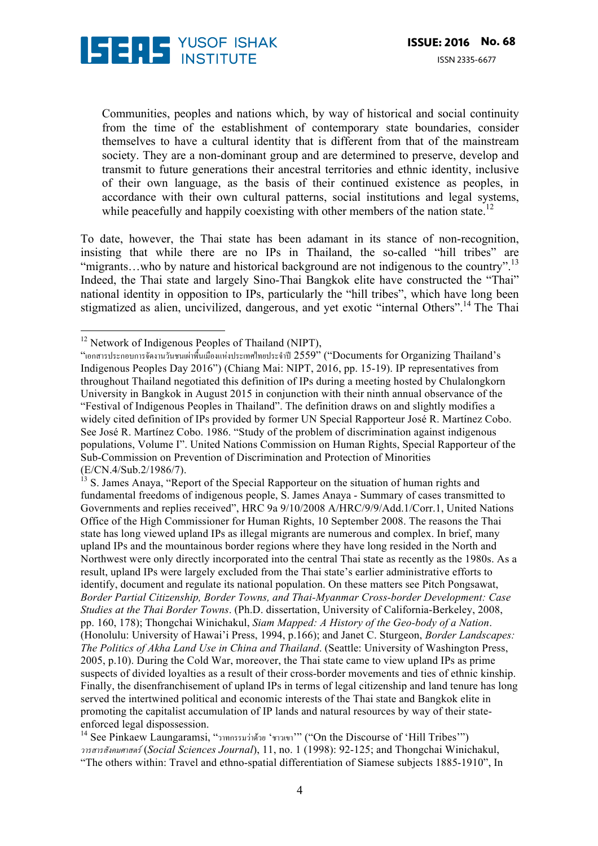

Communities, peoples and nations which, by way of historical and social continuity from the time of the establishment of contemporary state boundaries, consider themselves to have a cultural identity that is different from that of the mainstream society. They are a non-dominant group and are determined to preserve, develop and transmit to future generations their ancestral territories and ethnic identity, inclusive of their own language, as the basis of their continued existence as peoples, in accordance with their own cultural patterns, social institutions and legal systems, while peacefully and happily coexisting with other members of the nation state.<sup>12</sup>

To date, however, the Thai state has been adamant in its stance of non-recognition, insisting that while there are no IPs in Thailand, the so-called "hill tribes" are "migrants...who by nature and historical background are not indigenous to the country".<sup>13</sup> Indeed, the Thai state and largely Sino-Thai Bangkok elite have constructed the "Thai" national identity in opposition to IPs, particularly the "hill tribes", which have long been stigmatized as alien, uncivilized, dangerous, and yet exotic "internal Others".14 The Thai

 

 $12$  Network of Indigenous Peoples of Thailand (NIPT),

<sup>&</sup>quot;เอกสารประกอบการจัดงานวันชนเผ่าพื้นเมืองแห่งประเทศไทยประจําปี2559" ("Documents for Organizing Thailand's Indigenous Peoples Day 2016") (Chiang Mai: NIPT, 2016, pp. 15-19). IP representatives from throughout Thailand negotiated this definition of IPs during a meeting hosted by Chulalongkorn University in Bangkok in August 2015 in conjunction with their ninth annual observance of the "Festival of Indigenous Peoples in Thailand". The definition draws on and slightly modifies a widely cited definition of IPs provided by former UN Special Rapporteur José R. Martínez Cobo. See José R. Martínez Cobo. 1986. "Study of the problem of discrimination against indigenous populations, Volume I". United Nations Commission on Human Rights, Special Rapporteur of the Sub-Commission on Prevention of Discrimination and Protection of Minorities (E/CN.4/Sub.2/1986/7).

<sup>13</sup> S. James Anaya, "Report of the Special Rapporteur on the situation of human rights and fundamental freedoms of indigenous people, S. James Anaya - Summary of cases transmitted to Governments and replies received", HRC 9a 9/10/2008 A/HRC/9/9/Add.1/Corr.1, United Nations Office of the High Commissioner for Human Rights, 10 September 2008. The reasons the Thai state has long viewed upland IPs as illegal migrants are numerous and complex. In brief, many upland IPs and the mountainous border regions where they have long resided in the North and Northwest were only directly incorporated into the central Thai state as recently as the 1980s. As a result, upland IPs were largely excluded from the Thai state's earlier administrative efforts to identify, document and regulate its national population. On these matters see Pitch Pongsawat, *Border Partial Citizenship, Border Towns, and Thai-Myanmar Cross-border Development: Case Studies at the Thai Border Towns*. (Ph.D. dissertation, University of California-Berkeley, 2008, pp. 160, 178); Thongchai Winichakul, *Siam Mapped: A History of the Geo-body of a Nation*. (Honolulu: University of Hawai'i Press, 1994, p.166); and Janet C. Sturgeon, *Border Landscapes: The Politics of Akha Land Use in China and Thailand*. (Seattle: University of Washington Press, 2005, p.10). During the Cold War, moreover, the Thai state came to view upland IPs as prime suspects of divided loyalties as a result of their cross-border movements and ties of ethnic kinship. Finally, the disenfranchisement of upland IPs in terms of legal citizenship and land tenure has long served the intertwined political and economic interests of the Thai state and Bangkok elite in promoting the capitalist accumulation of IP lands and natural resources by way of their stateenforced legal dispossession.

<sup>14</sup> See Pinkaew Laungaramsi, "วาทกรรมว่าด้วย 'ชาวเขา'" ("On the Discourse of 'Hill Tribes'") *วารสารสังคมศาสตร์*(*Social Sciences Journal*), 11, no. 1 (1998): 92-125; and Thongchai Winichakul, "The others within: Travel and ethno-spatial differentiation of Siamese subjects 1885-1910", In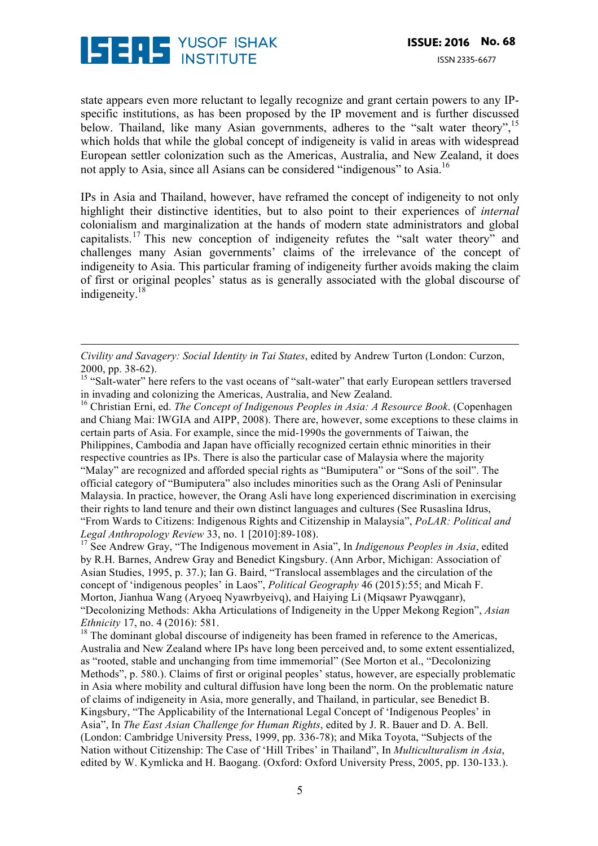

state appears even more reluctant to legally recognize and grant certain powers to any IPspecific institutions, as has been proposed by the IP movement and is further discussed below. Thailand, like many Asian governments, adheres to the "salt water theory",<sup>15</sup> which holds that while the global concept of indigeneity is valid in areas with widespread European settler colonization such as the Americas, Australia, and New Zealand, it does not apply to Asia, since all Asians can be considered "indigenous" to Asia.<sup>16</sup>

IPs in Asia and Thailand, however, have reframed the concept of indigeneity to not only highlight their distinctive identities, but to also point to their experiences of *internal*  colonialism and marginalization at the hands of modern state administrators and global capitalists.<sup>17</sup> This new conception of indigeneity refutes the "salt water theory" and challenges many Asian governments' claims of the irrelevance of the concept of indigeneity to Asia. This particular framing of indigeneity further avoids making the claim of first or original peoples' status as is generally associated with the global discourse of indigeneity.<sup>18</sup>

*Civility and Savagery: Social Identity in Tai States*, edited by Andrew Turton (London: Curzon, 2000, pp. 38-62).

<u> 1989 - Andrea Santa Andrea Andrea Andrea Andrea Andrea Andrea Andrea Andrea Andrea Andrea Andrea Andrea Andr</u>

<sup>15</sup> "Salt-water" here refers to the vast oceans of "salt-water" that early European settlers traversed in invading and colonizing the Americas, Australia, and New Zealand.

<sup>16</sup> Christian Erni, ed. *The Concept of Indigenous Peoples in Asia: A Resource Book*. (Copenhagen and Chiang Mai: IWGIA and AIPP, 2008). There are, however, some exceptions to these claims in certain parts of Asia. For example, since the mid-1990s the governments of Taiwan, the Philippines, Cambodia and Japan have officially recognized certain ethnic minorities in their respective countries as IPs. There is also the particular case of Malaysia where the majority "Malay" are recognized and afforded special rights as "Bumiputera" or "Sons of the soil". The official category of "Bumiputera" also includes minorities such as the Orang Asli of Peninsular Malaysia. In practice, however, the Orang Asli have long experienced discrimination in exercising their rights to land tenure and their own distinct languages and cultures (See Rusaslina Idrus, "From Wards to Citizens: Indigenous Rights and Citizenship in Malaysia", *PoLAR: Political and Legal Anthropology Review* 33, no. 1 [2010]:89-108).

<sup>17</sup> See Andrew Gray, "The Indigenous movement in Asia", In *Indigenous Peoples in Asia*, edited by R.H. Barnes, Andrew Gray and Benedict Kingsbury. (Ann Arbor, Michigan: Association of Asian Studies, 1995, p. 37.); Ian G. Baird, "Translocal assemblages and the circulation of the concept of 'indigenous peoples' in Laos", *Political Geography* 46 (2015):55; and Micah F. Morton, Jianhua Wang (Aryoeq Nyawrbyeivq), and Haiying Li (Miqsawr Pyawqganr), "Decolonizing Methods: Akha Articulations of Indigeneity in the Upper Mekong Region", *Asian Ethnicity* 17, no. 4 (2016): 581.

 $18$  The dominant global discourse of indigeneity has been framed in reference to the Americas, Australia and New Zealand where IPs have long been perceived and, to some extent essentialized, as "rooted, stable and unchanging from time immemorial" (See Morton et al., "Decolonizing Methods", p. 580.). Claims of first or original peoples' status, however, are especially problematic in Asia where mobility and cultural diffusion have long been the norm. On the problematic nature of claims of indigeneity in Asia, more generally, and Thailand, in particular, see Benedict B. Kingsbury, "The Applicability of the International Legal Concept of 'Indigenous Peoples' in Asia", In *The East Asian Challenge for Human Rights*, edited by J. R. Bauer and D. A. Bell. (London: Cambridge University Press, 1999, pp. 336-78); and Mika Toyota, "Subjects of the Nation without Citizenship: The Case of 'Hill Tribes' in Thailand", In *Multiculturalism in Asia*, edited by W. Kymlicka and H. Baogang. (Oxford: Oxford University Press, 2005, pp. 130-133.).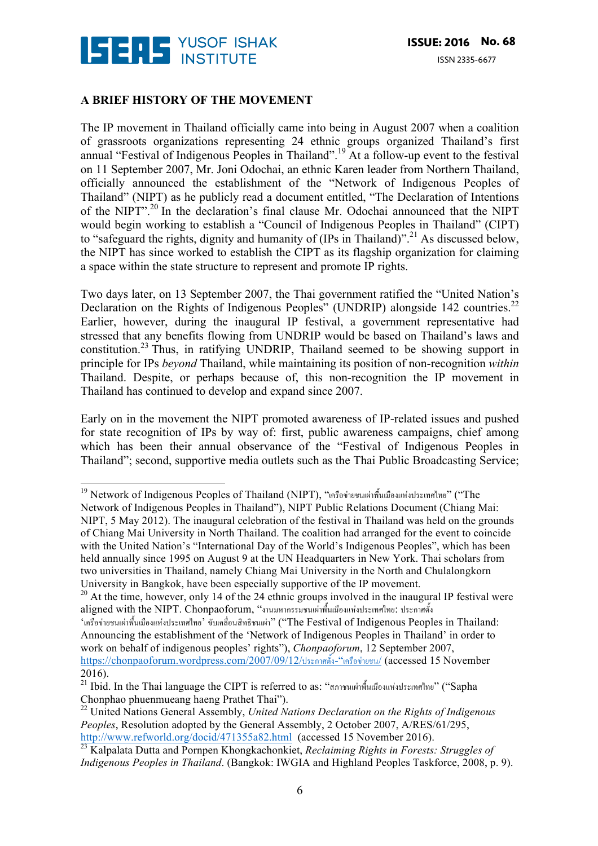

#### **A BRIEF HISTORY OF THE MOVEMENT**

The IP movement in Thailand officially came into being in August 2007 when a coalition of grassroots organizations representing 24 ethnic groups organized Thailand's first annual "Festival of Indigenous Peoples in Thailand".<sup>19</sup> At a follow-up event to the festival on 11 September 2007, Mr. Joni Odochai, an ethnic Karen leader from Northern Thailand, officially announced the establishment of the "Network of Indigenous Peoples of Thailand" (NIPT) as he publicly read a document entitled, "The Declaration of Intentions of the NIPT".20 In the declaration's final clause Mr. Odochai announced that the NIPT would begin working to establish a "Council of Indigenous Peoples in Thailand" (CIPT) to "safeguard the rights, dignity and humanity of (IPs in Thailand)".<sup>21</sup> As discussed below, the NIPT has since worked to establish the CIPT as its flagship organization for claiming a space within the state structure to represent and promote IP rights.

Two days later, on 13 September 2007, the Thai government ratified the "United Nation's Declaration on the Rights of Indigenous Peoples" (UNDRIP) alongside 142 countries.<sup>22</sup> Earlier, however, during the inaugural IP festival, a government representative had stressed that any benefits flowing from UNDRIP would be based on Thailand's laws and constitution.<sup>23</sup> Thus, in ratifying UNDRIP, Thailand seemed to be showing support in principle for IPs *beyond* Thailand, while maintaining its position of non-recognition *within*  Thailand. Despite, or perhaps because of, this non-recognition the IP movement in Thailand has continued to develop and expand since 2007.

Early on in the movement the NIPT promoted awareness of IP-related issues and pushed for state recognition of IPs by way of: first, public awareness campaigns, chief among which has been their annual observance of the "Festival of Indigenous Peoples in Thailand"; second, supportive media outlets such as the Thai Public Broadcasting Service;

 <sup>19</sup> Network of Indigenous Peoples of Thailand (NIPT), "เครือข่ายชนเผ่าพื้นเมืองแห่งประเทศไทย" ("The Network of Indigenous Peoples in Thailand"), NIPT Public Relations Document (Chiang Mai: NIPT, 5 May 2012). The inaugural celebration of the festival in Thailand was held on the grounds of Chiang Mai University in North Thailand. The coalition had arranged for the event to coincide with the United Nation's "International Day of the World's Indigenous Peoples", which has been held annually since 1995 on August 9 at the UN Headquarters in New York. Thai scholars from two universities in Thailand, namely Chiang Mai University in the North and Chulalongkorn University in Bangkok, have been especially supportive of the IP movement.

 $20$  At the time, however, only 14 of the 24 ethnic groups involved in the inaugural IP festival were aligned with the NIPT. Chonpaoforum, "งานมหากรรมชนเผ่าพื้นเมืองแห่งประเทศไทย: ประกาศตั้ง

<sup>&#</sup>x27;เครือข่ายชนเผ่าพื้นเมืองแห่งประเทศไทย' ขับเคลื่อนสิทธิชนเผ่า" ("The Festival of Indigenous Peoples in Thailand: Announcing the establishment of the 'Network of Indigenous Peoples in Thailand' in order to work on behalf of indigenous peoples' rights"), *Chonpaoforum*, 12 September 2007, https://chonpaoforum.wordpress.com/2007/09/12/ประกาศตั้ง-"เครือข่ายชน/ (accessed 15 November 2016).

<sup>21</sup> Ibid. In the Thai language the CIPT is referred to as: "สภาชนเผ่าพื้นเมืองแห่งประเทศไทย" ("Sapha Chonphao phuenmueang haeng Prathet Thai").

<sup>22</sup> United Nations General Assembly, *United Nations Declaration on the Rights of Indigenous Peoples*, Resolution adopted by the General Assembly, 2 October 2007, A/RES/61/295, http://www.refworld.org/docid/471355a82.html (accessed 15 November 2016).

<sup>23</sup> Kalpalata Dutta and Pornpen Khongkachonkiet, *Reclaiming Rights in Forests: Struggles of Indigenous Peoples in Thailand*. (Bangkok: IWGIA and Highland Peoples Taskforce, 2008, p. 9).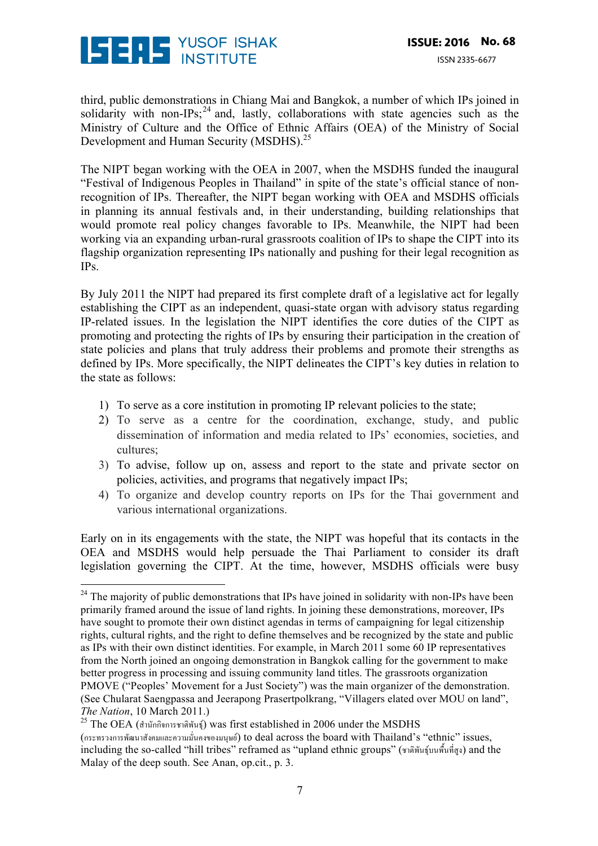

 

third, public demonstrations in Chiang Mai and Bangkok, a number of which IPs joined in solidarity with non-IPs;  $24$  and, lastly, collaborations with state agencies such as the Ministry of Culture and the Office of Ethnic Affairs (OEA) of the Ministry of Social Development and Human Security (MSDHS).<sup>25</sup>

The NIPT began working with the OEA in 2007, when the MSDHS funded the inaugural "Festival of Indigenous Peoples in Thailand" in spite of the state's official stance of nonrecognition of IPs. Thereafter, the NIPT began working with OEA and MSDHS officials in planning its annual festivals and, in their understanding, building relationships that would promote real policy changes favorable to IPs. Meanwhile, the NIPT had been working via an expanding urban-rural grassroots coalition of IPs to shape the CIPT into its flagship organization representing IPs nationally and pushing for their legal recognition as IPs.

By July 2011 the NIPT had prepared its first complete draft of a legislative act for legally establishing the CIPT as an independent, quasi-state organ with advisory status regarding IP-related issues. In the legislation the NIPT identifies the core duties of the CIPT as promoting and protecting the rights of IPs by ensuring their participation in the creation of state policies and plans that truly address their problems and promote their strengths as defined by IPs. More specifically, the NIPT delineates the CIPT's key duties in relation to the state as follows:

- 1) To serve as a core institution in promoting IP relevant policies to the state;
- 2) To serve as a centre for the coordination, exchange, study, and public dissemination of information and media related to IPs' economies, societies, and cultures;
- 3) To advise, follow up on, assess and report to the state and private sector on policies, activities, and programs that negatively impact IPs;
- 4) To organize and develop country reports on IPs for the Thai government and various international organizations.

Early on in its engagements with the state, the NIPT was hopeful that its contacts in the OEA and MSDHS would help persuade the Thai Parliament to consider its draft legislation governing the CIPT. At the time, however, MSDHS officials were busy

 $24$  The majority of public demonstrations that IPs have joined in solidarity with non-IPs have been primarily framed around the issue of land rights. In joining these demonstrations, moreover, IPs have sought to promote their own distinct agendas in terms of campaigning for legal citizenship rights, cultural rights, and the right to define themselves and be recognized by the state and public as IPs with their own distinct identities. For example, in March 2011 some 60 IP representatives from the North joined an ongoing demonstration in Bangkok calling for the government to make better progress in processing and issuing community land titles. The grassroots organization PMOVE ("Peoples' Movement for a Just Society") was the main organizer of the demonstration. (See Chularat Saengpassa and Jeerapong Prasertpolkrang, "Villagers elated over MOU on land", *The Nation*, 10 March 2011.)

<sup>25</sup> The OEA (สํานักกิจการชาติพันธุ์) was first established in 2006 under the MSDHS (กระทรวงการพัฒนาสังคมและความมั่นคงของมนุษย์) to deal across the board with Thailand's "ethnic" issues, including the so-called "hill tribes" reframed as "upland ethnic groups" (ชาติพันธุ์บนพื้นที่สูง) and the Malay of the deep south. See Anan, op.cit., p. 3.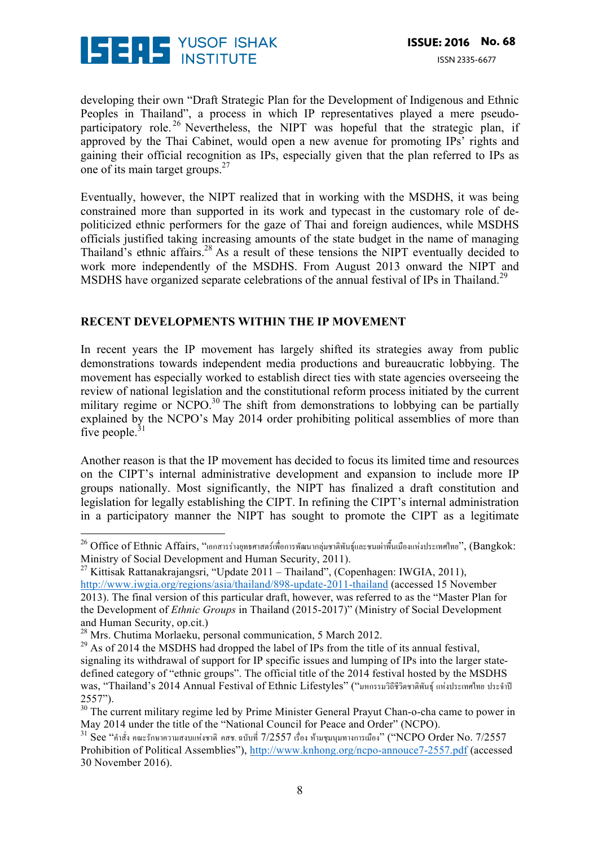

developing their own "Draft Strategic Plan for the Development of Indigenous and Ethnic Peoples in Thailand", a process in which IP representatives played a mere pseudoparticipatory role.<sup>26</sup> Nevertheless, the NIPT was hopeful that the strategic plan, if approved by the Thai Cabinet, would open a new avenue for promoting IPs' rights and gaining their official recognition as IPs, especially given that the plan referred to IPs as one of its main target groups.<sup>27</sup>

Eventually, however, the NIPT realized that in working with the MSDHS, it was being constrained more than supported in its work and typecast in the customary role of depoliticized ethnic performers for the gaze of Thai and foreign audiences, while MSDHS officials justified taking increasing amounts of the state budget in the name of managing Thailand's ethnic affairs.28 As a result of these tensions the NIPT eventually decided to work more independently of the MSDHS. From August 2013 onward the NIPT and MSDHS have organized separate celebrations of the annual festival of IPs in Thailand.<sup>29</sup>

#### **RECENT DEVELOPMENTS WITHIN THE IP MOVEMENT**

In recent years the IP movement has largely shifted its strategies away from public demonstrations towards independent media productions and bureaucratic lobbying. The movement has especially worked to establish direct ties with state agencies overseeing the review of national legislation and the constitutional reform process initiated by the current military regime or NCPO.<sup>30</sup> The shift from demonstrations to lobbying can be partially explained by the NCPO's May 2014 order prohibiting political assemblies of more than five people. $31$ 

Another reason is that the IP movement has decided to focus its limited time and resources on the CIPT's internal administrative development and expansion to include more IP groups nationally. Most significantly, the NIPT has finalized a draft constitution and legislation for legally establishing the CIPT. In refining the CIPT's internal administration in a participatory manner the NIPT has sought to promote the CIPT as a legitimate

 

 $^{26}$  Office of Ethnic Affairs, "เอกสารร่างยุทธศาสตร์เพื่อการพัฒนากลุ่มชาติพันธุ์และชนเผ่าพื้นเมืองแห่งประเทศไทย", (Bangkok: Ministry of Social Development and Human Security, 2011).

<sup>&</sup>lt;sup>27</sup> Kittisak Rattanakrajangsri, "Update 2011 – Thailand", (Copenhagen: IWGIA, 2011), http://www.iwgia.org/regions/asia/thailand/898-update-2011-thailand (accessed 15 November 2013). The final version of this particular draft, however, was referred to as the "Master Plan for the Development of *Ethnic Groups* in Thailand (2015-2017)" (Ministry of Social Development and Human Security, op.cit.)

<sup>28</sup> Mrs. Chutima Morlaeku, personal communication, 5 March 2012.

 $^{29}$  As of 2014 the MSDHS had dropped the label of IPs from the title of its annual festival, signaling its withdrawal of support for IP specific issues and lumping of IPs into the larger statedefined category of "ethnic groups". The official title of the 2014 festival hosted by the MSDHS was, "Thailand's 2014 Annual Festival of Ethnic Lifestyles" ("มหกรรมวิถีชีวิตชาติพันธุ์แห่งประเทศไทย ประจําปี

<sup>2557&</sup>quot;).<sup>30</sup> The current military regime led by Prime Minister General Prayut Chan-o-cha came to power in May 2014 under the title of the "National Council for Peace and Order" (NCPO).

 $31$  See "คำสั่ง คณะรักษาความสงบแห่งชาติ คสช. ฉบับที่ 7/2557 เรื่อง ห้ามชุมนุมทางการเมือง" ("NCPO Order No. 7/2557 Prohibition of Political Assemblies"), http://www.knhong.org/ncpo-annouce7-2557.pdf (accessed 30 November 2016).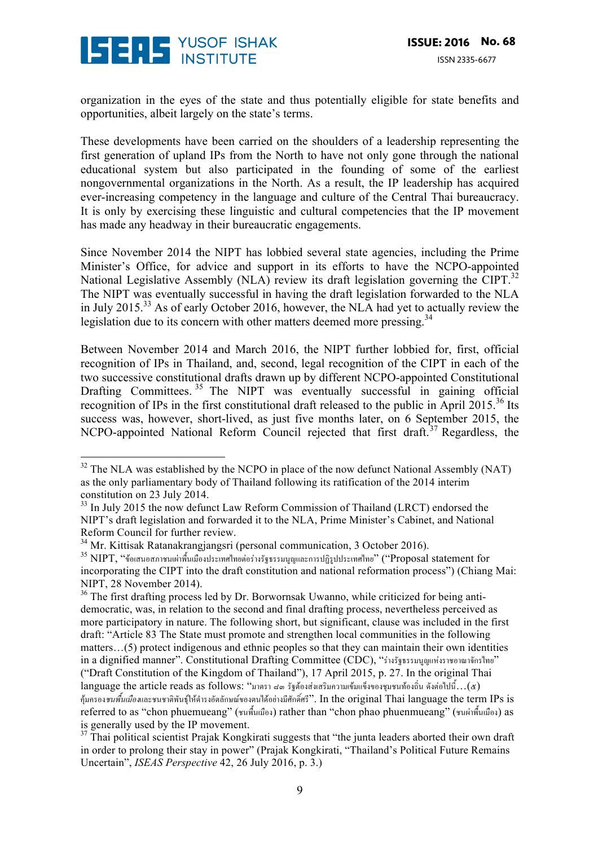

 

organization in the eyes of the state and thus potentially eligible for state benefits and opportunities, albeit largely on the state's terms.

These developments have been carried on the shoulders of a leadership representing the first generation of upland IPs from the North to have not only gone through the national educational system but also participated in the founding of some of the earliest nongovernmental organizations in the North. As a result, the IP leadership has acquired ever-increasing competency in the language and culture of the Central Thai bureaucracy. It is only by exercising these linguistic and cultural competencies that the IP movement has made any headway in their bureaucratic engagements.

Since November 2014 the NIPT has lobbied several state agencies, including the Prime Minister's Office, for advice and support in its efforts to have the NCPO-appointed National Legislative Assembly (NLA) review its draft legislation governing the CIPT.<sup>32</sup> The NIPT was eventually successful in having the draft legislation forwarded to the NLA in July 2015.33 As of early October 2016, however, the NLA had yet to actually review the legislation due to its concern with other matters deemed more pressing.<sup>34</sup>

Between November 2014 and March 2016, the NIPT further lobbied for, first, official recognition of IPs in Thailand, and, second, legal recognition of the CIPT in each of the two successive constitutional drafts drawn up by different NCPO-appointed Constitutional Drafting Committees.  $35$  The NIPT was eventually successful in gaining official recognition of IPs in the first constitutional draft released to the public in April 2015.<sup>36</sup> Its success was, however, short-lived, as just five months later, on 6 September 2015, the NCPO-appointed National Reform Council rejected that first draft.<sup>37</sup> Regardless, the

 $32$  The NLA was established by the NCPO in place of the now defunct National Assembly (NAT) as the only parliamentary body of Thailand following its ratification of the 2014 interim constitution on 23 July 2014.

 $33$  In July 2015 the now defunct Law Reform Commission of Thailand (LRCT) endorsed the NIPT's draft legislation and forwarded it to the NLA, Prime Minister's Cabinet, and National Reform Council for further review.

<sup>34</sup> Mr. Kittisak Ratanakrangjangsri (personal communication, 3 October 2016).

<sup>35</sup> NIPT, "ข้อเสนอสภาชนเผ่าพื้นเมืองประเทศไทยต่อร่างรัฐธรรมนูญและการปฏิรูปประเทศไทย" ("Proposal statement for incorporating the CIPT into the draft constitution and national reformation process") (Chiang Mai: NIPT, 28 November 2014).

 $36$  The first drafting process led by Dr. Borwornsak Uwanno, while criticized for being antidemocratic, was, in relation to the second and final drafting process, nevertheless perceived as more participatory in nature. The following short, but significant, clause was included in the first draft: "Article 83 The State must promote and strengthen local communities in the following matters…(5) protect indigenous and ethnic peoples so that they can maintain their own identities in a dignified manner". Constitutional Drafting Committee (CDC), "ร่างรัฐธรรมนูญแห่งราชอาณาจักรไทย" ("Draft Constitution of the Kingdom of Thailand"), 17 April 2015, p. 27. In the original Thai language the article reads as follows: "มาตรา ๔๓ รัฐต้องส่งเสริมความเข้มแข็งของชุมชนท้องถิ่น ดังต่อไปนี้...(๕) คุ้มครอง*ชนพื้นเมือง*และชนชาติพันธุ์ให้ดํารงอัตลักษณ์ของตนได้อย่างมีศักดิ์ศรี". In the original Thai language the term IPs is referred to as "chon phuemueang" (ชนพื้นเมือง) rather than "chon phao phuenmueang" (ชนผ่าพื้นเมือง) as is generally used by the IP movement.

<sup>37</sup> Thai political scientist Prajak Kongkirati suggests that "the junta leaders aborted their own draft in order to prolong their stay in power" (Prajak Kongkirati, "Thailand's Political Future Remains Uncertain", *ISEAS Perspective* 42, 26 July 2016, p. 3.)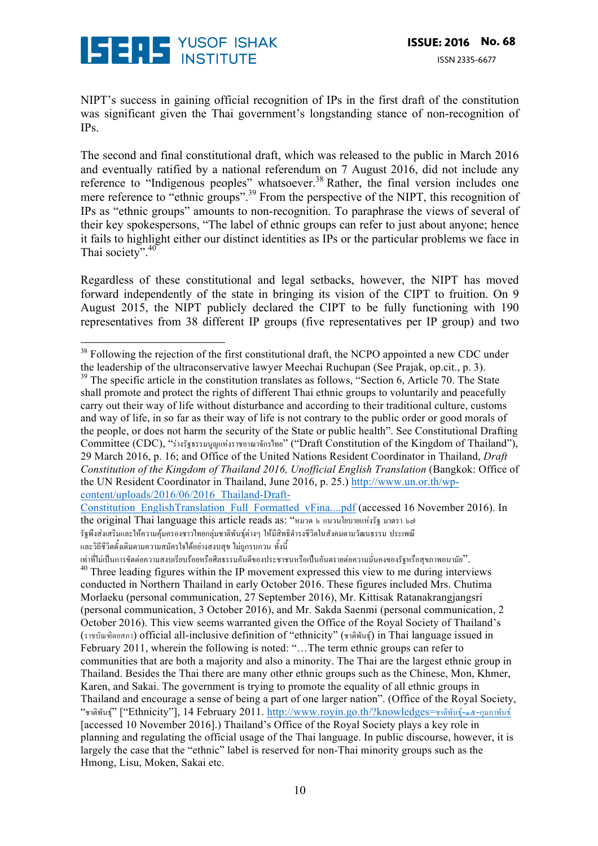

NIPT's success in gaining official recognition of IPs in the first draft of the constitution was significant given the Thai government's longstanding stance of non-recognition of IPs.

The second and final constitutional draft, which was released to the public in March 2016 and eventually ratified by a national referendum on 7 August 2016, did not include any reference to "Indigenous peoples" whatsoever.<sup>38</sup> Rather, the final version includes one mere reference to "ethnic groups".<sup>39</sup> From the perspective of the NIPT, this recognition of IPs as "ethnic groups" amounts to non-recognition. To paraphrase the views of several of their key spokespersons, "The label of ethnic groups can refer to just about anyone; hence it fails to highlight either our distinct identities as IPs or the particular problems we face in Thai society".<sup>40</sup>

Regardless of these constitutional and legal setbacks, however, the NIPT has moved forward independently of the state in bringing its vision of the CIPT to fruition. On 9 August 2015, the NIPT publicly declared the CIPT to be fully functioning with 190 representatives from 38 different IP groups (five representatives per IP group) and two

Constitution\_EnglishTranslation\_Full\_Formatted\_vFina....pdf (accessed 16 November 2016). In the original Thai language this article reads as: "หมวด ๖ แนวนโยบายแห่งรัฐ มาตรา ๖๗ รัฐพึงส่งเสริมและให้ความคุ้มครองชาวไทยกลุ่มชาติพันธุ์ต่างๆ ให้มีสิทธิดํารงชีวิตในสังคมตามวัฒนธรรม ประเพณี และวิถีชีวิตดั้งเดิมตามความสมัครใจได้อย่างสงบสุข ไม่ถูกรบกวน ทั้งนี้

 $38$  Following the rejection of the first constitutional draft, the NCPO appointed a new CDC under the leadership of the ultraconservative lawyer Meechai Ruchupan (See Prajak, op.cit., p. 3).

 $39$  The specific article in the constitution translates as follows, "Section 6, Article 70. The State shall promote and protect the rights of different Thai ethnic groups to voluntarily and peacefully carry out their way of life without disturbance and according to their traditional culture, customs and way of life, in so far as their way of life is not contrary to the public order or good morals of the people, or does not harm the security of the State or public health". See Constitutional Drafting Committee (CDC), "ร่างรัฐธรรมนูญแห่งราชอาณาจักรไทย" ("Draft Constitution of the Kingdom of Thailand"), 29 March 2016, p. 16; and Office of the United Nations Resident Coordinator in Thailand, *Draft Constitution of the Kingdom of Thailand 2016, Unofficial English Translation* (Bangkok: Office of the UN Resident Coordinator in Thailand, June 2016, p. 25.) http://www.un.or.th/wpcontent/uploads/2016/06/2016\_Thailand-Draft-

เท่าที่ไม่เป็นการขัดต่อความสงบเรียบร้อยหรือศีลธรรมอันดีของประชาชนหรือเป็นอันตรายต่อความมั่นคงของรัฐหรือสุขภาพอนามัย".  $40$  Three leading figures within the IP movement expressed this view to me during interviews conducted in Northern Thailand in early October 2016. These figures included Mrs. Chutima Morlaeku (personal communication, 27 September 2016), Mr. Kittisak Ratanakrangjangsri (personal communication, 3 October 2016), and Mr. Sakda Saenmi (personal communication, 2 October 2016). This view seems warranted given the Office of the Royal Society of Thailand's (ราชบัณฑิตยสภา) official all-inclusive definition of "ethnicity" (ชาติพันธุ์) in Thai language issued in February 2011, wherein the following is noted: "…The term ethnic groups can refer to communities that are both a majority and also a minority. The Thai are the largest ethnic group in Thailand. Besides the Thai there are many other ethnic groups such as the Chinese, Mon, Khmer, Karen, and Sakai. The government is trying to promote the equality of all ethnic groups in Thailand and encourage a sense of being a part of one larger nation". (Office of the Royal Society, "ชาติพันธุ์" ["Ethnicity"], 14 February 2011. http://www.royin.go.th/?knowledges=ชาติพันธุ์-๑๕-กุมภาพันธ์ [accessed 10 November 2016].) Thailand's Office of the Royal Society plays a key role in planning and regulating the official usage of the Thai language. In public discourse, however, it is largely the case that the "ethnic" label is reserved for non-Thai minority groups such as the Hmong, Lisu, Moken, Sakai etc.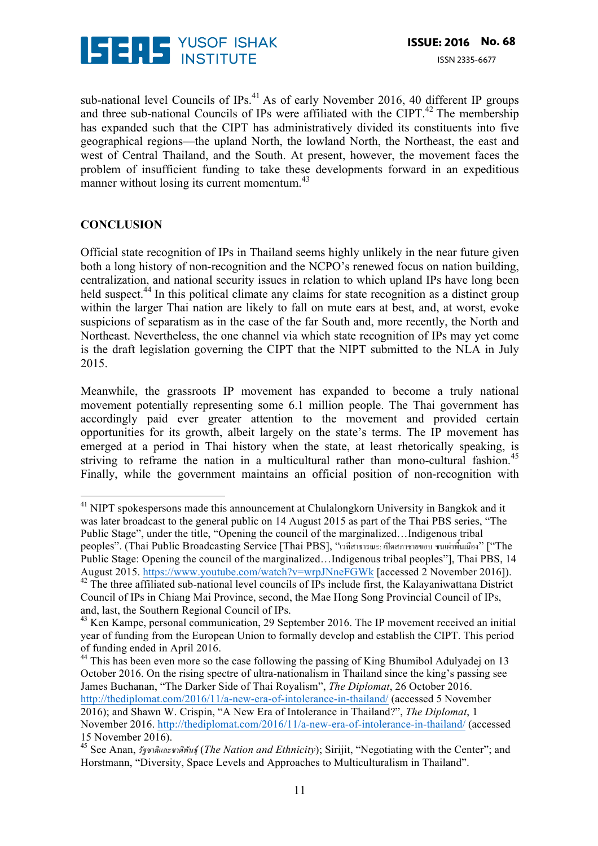

sub-national level Councils of IPs. $^{41}$  As of early November 2016, 40 different IP groups and three sub-national Councils of IPs were affiliated with the CIPT.<sup>42</sup> The membership has expanded such that the CIPT has administratively divided its constituents into five geographical regions—the upland North, the lowland North, the Northeast, the east and west of Central Thailand, and the South. At present, however, the movement faces the problem of insufficient funding to take these developments forward in an expeditious manner without losing its current momentum.<sup>43</sup>

#### **CONCLUSION**

Official state recognition of IPs in Thailand seems highly unlikely in the near future given both a long history of non-recognition and the NCPO's renewed focus on nation building, centralization, and national security issues in relation to which upland IPs have long been held suspect.<sup>44</sup> In this political climate any claims for state recognition as a distinct group within the larger Thai nation are likely to fall on mute ears at best, and, at worst, evoke suspicions of separatism as in the case of the far South and, more recently, the North and Northeast. Nevertheless, the one channel via which state recognition of IPs may yet come is the draft legislation governing the CIPT that the NIPT submitted to the NLA in July 2015.

Meanwhile, the grassroots IP movement has expanded to become a truly national movement potentially representing some 6.1 million people. The Thai government has accordingly paid ever greater attention to the movement and provided certain opportunities for its growth, albeit largely on the state's terms. The IP movement has emerged at a period in Thai history when the state, at least rhetorically speaking, is striving to reframe the nation in a multicultural rather than mono-cultural fashion.<sup>45</sup> Finally, while the government maintains an official position of non-recognition with

  $41$  NIPT spokespersons made this announcement at Chulalong korn University in Bangkok and it was later broadcast to the general public on 14 August 2015 as part of the Thai PBS series, "The Public Stage", under the title, "Opening the council of the marginalized…Indigenous tribal peoples". (Thai Public Broadcasting Service [Thai PBS], "เวทีสาธารณะ: เปิดสภาชายขอบ ชนเผ่าพื้นเมือง" ["The Public Stage: Opening the council of the marginalized…Indigenous tribal peoples"], Thai PBS, 14 August 2015. https://www.youtube.com/watch?v=wrpJNneFGWk [accessed 2 November 2016]).

<sup>&</sup>lt;sup>42</sup> The three affiliated sub-national level councils of IPs include first, the Kalayaniwattana District Council of IPs in Chiang Mai Province, second, the Mae Hong Song Provincial Council of IPs, and, last, the Southern Regional Council of IPs.

<sup>&</sup>lt;sup>43</sup> Ken Kampe, personal communication, 29 September 2016. The IP movement received an initial year of funding from the European Union to formally develop and establish the CIPT. This period of funding ended in April 2016.

<sup>&</sup>lt;sup>44</sup> This has been even more so the case following the passing of King Bhumibol Adulyadej on 13 October 2016. On the rising spectre of ultra-nationalism in Thailand since the king's passing see James Buchanan, "The Darker Side of Thai Royalism", *The Diplomat*, 26 October 2016. http://thediplomat.com/2016/11/a-new-era-of-intolerance-in-thailand/ (accessed 5 November 2016); and Shawn W. Crispin, "A New Era of Intolerance in Thailand?", *The Diplomat*, 1 November 2016. http://thediplomat.com/2016/11/a-new-era-of-intolerance-in-thailand/ (accessed 15 November 2016).

<sup>45</sup> See Anan, *รัฐชาติและชาติพันธุ์*(*The Nation and Ethnicity*); Sirijit, "Negotiating with the Center"; and Horstmann, "Diversity, Space Levels and Approaches to Multiculturalism in Thailand".